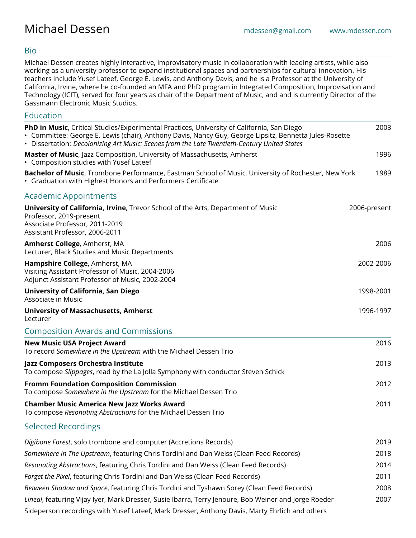# Bio

Michael Dessen creates highly interactive, improvisatory music in collaboration with leading artists, while also working as a university professor to expand institutional spaces and partnerships for cultural innovation. His teachers include Yusef Lateef, George E. Lewis, and Anthony Davis, and he is a Professor at the University of California, Irvine, where he co-founded an MFA and PhD program in Integrated Composition, Improvisation and Technology (ICIT), served for four years as chair of the Department of Music, and and is currently Director of the Gassmann Electronic Music Studios.

# Education

| PhD in Music, Critical Studies/Experimental Practices, University of California, San Diego<br>· Committee: George E. Lewis (chair), Anthony Davis, Nancy Guy, George Lipsitz, Bennetta Jules-Rosette<br>• Dissertation: Decolonizing Art Music: Scenes from the Late Twentieth-Century United States | 2003         |
|------------------------------------------------------------------------------------------------------------------------------------------------------------------------------------------------------------------------------------------------------------------------------------------------------|--------------|
| Master of Music, Jazz Composition, University of Massachusetts, Amherst<br>• Composition studies with Yusef Lateef                                                                                                                                                                                   | 1996         |
| Bachelor of Music, Trombone Performance, Eastman School of Music, University of Rochester, New York<br>• Graduation with Highest Honors and Performers Certificate                                                                                                                                   | 1989         |
| <b>Academic Appointments</b>                                                                                                                                                                                                                                                                         |              |
| University of California, Irvine, Trevor School of the Arts, Department of Music<br>Professor, 2019-present<br>Associate Professor, 2011-2019<br>Assistant Professor, 2006-2011                                                                                                                      | 2006-present |
| <b>Amherst College, Amherst, MA</b><br>Lecturer, Black Studies and Music Departments                                                                                                                                                                                                                 | 2006         |
| Hampshire College, Amherst, MA<br>Visiting Assistant Professor of Music, 2004-2006<br>Adjunct Assistant Professor of Music, 2002-2004                                                                                                                                                                | 2002-2006    |
| <b>University of California, San Diego</b><br>Associate in Music                                                                                                                                                                                                                                     | 1998-2001    |
| <b>University of Massachusetts, Amherst</b><br>Lecturer                                                                                                                                                                                                                                              | 1996-1997    |
| <b>Composition Awards and Commissions</b>                                                                                                                                                                                                                                                            |              |
| <b>New Music USA Project Award</b><br>To record Somewhere in the Upstream with the Michael Dessen Trio                                                                                                                                                                                               | 2016         |
| Jazz Composers Orchestra Institute<br>To compose Slippages, read by the La Jolla Symphony with conductor Steven Schick                                                                                                                                                                               | 2013         |
| <b>Fromm Foundation Composition Commission</b><br>To compose Somewhere in the Upstream for the Michael Dessen Trio                                                                                                                                                                                   | 2012         |
| <b>Chamber Music America New Jazz Works Award</b><br>To compose Resonating Abstractions for the Michael Dessen Trio                                                                                                                                                                                  | 2011         |
| <b>Selected Recordings</b>                                                                                                                                                                                                                                                                           |              |
| Digibone Forest, solo trombone and computer (Accretions Records)                                                                                                                                                                                                                                     | 2019         |
| Somewhere In The Upstream, featuring Chris Tordini and Dan Weiss (Clean Feed Records)                                                                                                                                                                                                                | 2018         |
| Resonating Abstractions, featuring Chris Tordini and Dan Weiss (Clean Feed Records)                                                                                                                                                                                                                  | 2014         |
| Forget the Pixel, featuring Chris Tordini and Dan Weiss (Clean Feed Records)                                                                                                                                                                                                                         | 2011         |
| Between Shadow and Space, featuring Chris Tordini and Tyshawn Sorey (Clean Feed Records)                                                                                                                                                                                                             | 2008         |
| Lineal, featuring Vijay Iyer, Mark Dresser, Susie Ibarra, Terry Jenoure, Bob Weiner and Jorge Roeder                                                                                                                                                                                                 | 2007         |
| Sideperson recordings with Yusef Lateef, Mark Dresser, Anthony Davis, Marty Ehrlich and others                                                                                                                                                                                                       |              |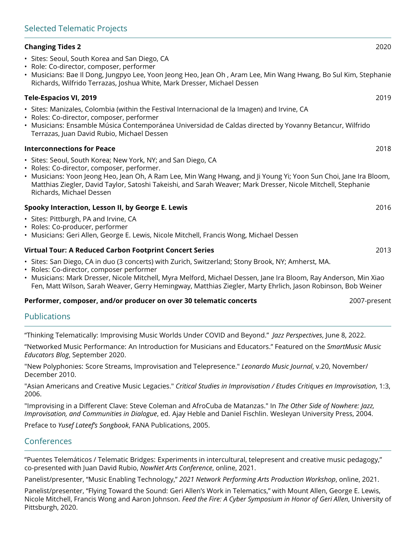# **Changing Tides 2** 2020

- Sites: Seoul, South Korea and San Diego, CA
- Role: Co-director, composer, performer
- Musicians: Bae Il Dong, Jungpyo Lee, Yoon Jeong Heo, Jean Oh , Aram Lee, Min Wang Hwang, Bo Sul Kim, Stephanie Richards, Wilfrido Terrazas, Joshua White, Mark Dresser, Michael Dessen

#### **Tele-Espacios VI, 2019** 2019

- Sites: Manizales, Colombia (within the Festival Internacional de la Imagen) and Irvine, CA
- Roles: Co-director, composer, performer
- Musicians: Ensamble Música Contemporánea Universidad de Caldas directed by Yovanny Betancur, Wilfrido Terrazas, Juan David Rubio, Michael Dessen

#### **Interconnections for Peace** 2018

- Sites: Seoul, South Korea; New York, NY; and San Diego, CA
- Roles: Co-director, composer, performer.
- Musicians: Yoon Jeong Heo, Jean Oh, A Ram Lee, Min Wang Hwang, and Ji Young Yi; Yoon Sun Choi, Jane Ira Bloom, Matthias Ziegler, David Taylor, Satoshi Takeishi, and Sarah Weaver; Mark Dresser, Nicole Mitchell, Stephanie Richards, Michael Dessen

## **Spooky Interaction, Lesson II, by George E. Lewis** 2016

- Sites: Pittburgh, PA and Irvine, CA
- Roles: Co-producer, performer
- Musicians: Geri Allen, George E. Lewis, Nicole Mitchell, Francis Wong, Michael Dessen

#### **Virtual Tour: A Reduced Carbon Footprint Concert Series** 2013

- Sites: San Diego, CA in duo (3 concerts) with Zurich, Switzerland; Stony Brook, NY; Amherst, MA.
- Roles: Co-director, composer performer
- Musicians: Mark Dresser, Nicole Mitchell, Myra Melford, Michael Dessen, Jane Ira Bloom, Ray Anderson, Min Xiao Fen, Matt Wilson, Sarah Weaver, Gerry Hemingway, Matthias Ziegler, Marty Ehrlich, Jason Robinson, Bob Weiner

#### **Performer, composer, and/or producer on over 30 telematic concerts** 2007-present

# Publications

"Thinking Telematically: Improvising Music Worlds Under COVID and Beyond." *Jazz Perspectives*, June 8, 2022.

"Networked Music Performance: An Introduction for Musicians and Educators." Featured on the *SmartMusic Music Educators Blog*, September 2020.

"New Polyphonies: Score Streams, Improvisation and Telepresence." *Leonardo Music Journal*, v.20, November/ December 2010.

"Asian Americans and Creative Music Legacies." *Critical Studies in Improvisation / Etudes Critiques en Improvisation*, 1:3, 2006.

"Improvising in a Different Clave: Steve Coleman and AfroCuba de Matanzas." In *The Other Side of Nowhere: Jazz, Improvisation, and Communities in Dialogue*, ed. Ajay Heble and Daniel Fischlin. Wesleyan University Press, 2004.

Preface to *Yusef Lateef's Songbook*, FANA Publications, 2005.

# Conferences

"Puentes Telemáticos / Telematic Bridges: Experiments in intercultural, telepresent and creative music pedagogy," co-presented with Juan David Rubio, *NowNet Arts Conference*, online, 2021.

Panelist/presenter, "Music Enabling Technology," *2021 Network Performing Arts Production Workshop*, online, 2021.

Panelist/presenter, "Flying Toward the Sound: Geri Allen's Work in Telematics," with Mount Allen, George E. Lewis, Nicole Mitchell, Francis Wong and Aaron Johnson. *Feed the Fire: A Cyber Symposium in Honor of Geri Allen*, University of Pittsburgh, 2020.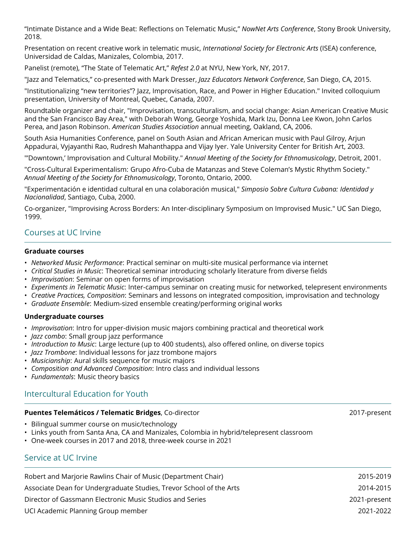"Intimate Distance and a Wide Beat: Reflections on Telematic Music," *NowNet Arts Conference*, Stony Brook University, 2018.

Presentation on recent creative work in telematic music, *International Society for Electronic Arts* (ISEA) conference, Universidad de Caldas, Manizales, Colombia, 2017.

Panelist (remote), "The State of Telematic Art," *Refest 2.0* at NYU, New York, NY, 2017.

"Jazz and Telematics," co-presented with Mark Dresser, *Jazz Educators Network Conference*, San Diego, CA, 2015.

"Institutionalizing "new territories"? Jazz, Improvisation, Race, and Power in Higher Education." Invited colloquium presentation, University of Montreal, Quebec, Canada, 2007.

Roundtable organizer and chair, "Improvisation, transculturalism, and social change: Asian American Creative Music and the San Francisco Bay Area," with Deborah Wong, George Yoshida, Mark Izu, Donna Lee Kwon, John Carlos Perea, and Jason Robinson. *American Studies Association* annual meeting, Oakland, CA, 2006.

South Asia Humanities Conference, panel on South Asian and African American music with Paul Gilroy, Arjun Appadurai, Vyjayanthi Rao, Rudresh Mahanthappa and Vijay Iyer. Yale University Center for British Art, 2003.

"'Downtown,' Improvisation and Cultural Mobility." *Annual Meeting of the Society for Ethnomusicology*, Detroit, 2001.

"Cross-Cultural Experimentalism: Grupo Afro-Cuba de Matanzas and Steve Coleman's Mystic Rhythm Society." *Annual Meeting of the Society for Ethnomusicology*, Toronto, Ontario, 2000.

"Experimentación e identidad cultural en una colaboración musical," *Simposio Sobre Cultura Cubana: Identidad y Nacionalidad*, Santiago, Cuba, 2000.

Co-organizer, "Improvising Across Borders: An Inter-disciplinary Symposium on Improvised Music." UC San Diego, 1999.

# Courses at UC Irvine

## **Graduate courses**

- *Networked Music Performance*: Practical seminar on multi-site musical performance via internet
- *Critical Studies in Music*: Theoretical seminar introducing scholarly literature from diverse fields
- *Improvisation*: Seminar on open forms of improvisation
- *Experiments in Telematic Music*: Inter-campus seminar on creating music for networked, telepresent environments
- *Creative Practices, Composition*: Seminars and lessons on integrated composition, improvisation and technology
- *Graduate Ensemble*: Medium-sized ensemble creating/performing original works

## **Undergraduate courses**

- *Improvisation*: Intro for upper-division music majors combining practical and theoretical work
- *Jazz combo*: Small group jazz performance
- *Introduction to Music*: Large lecture (up to 400 students), also offered online, on diverse topics
- *Jazz Trombone*: Individual lessons for jazz trombone majors
- *Musicianship*: Aural skills sequence for music majors
- *Composition and Advanced Composition*: Intro class and individual lessons
- *Fundamentals*: Music theory basics

# Intercultural Education for Youth

## **Puentes Telemáticos / Telematic Bridges**, Co-director 2017-present

- Bilingual summer course on music/technology
- Links youth from Santa Ana, CA and Manizales, Colombia in hybrid/telepresent classroom
- One-week courses in 2017 and 2018, three-week course in 2021

# Service at UC Irvine

Robert and Marjorie Rawlins Chair of Music (Department Chair) 2015-2019 Associate Dean for Undergraduate Studies, Trevor School of the Arts 2014-2015 Director of Gassmann Electronic Music Studios and Series 2021-present UCI Academic Planning Group member 2021-2022